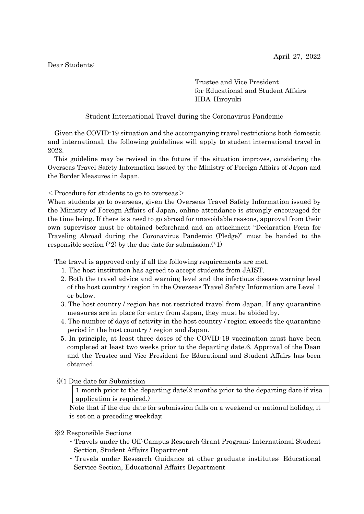## Dear Students:

Trustee and Vice President for Educational and Student Affairs IIDA Hiroyuki

Student International Travel during the Coronavirus Pandemic

Given the COVID-19 situation and the accompanying travel restrictions both domestic and international, the following guidelines will apply to student international travel in 2022.

This guideline may be revised in the future if the situation improves, considering the Overseas Travel Safety Information issued by the Ministry of Foreign Affairs of Japan and the Border Measures in Japan.

 $\leq$  Procedure for students to go to overseas  $\geq$ 

When students go to overseas, given the Overseas Travel Safety Information issued by the Ministry of Foreign Affairs of Japan, online attendance is strongly encouraged for the time being. If there is a need to go abroad for unavoidable reasons, approval from their own supervisor must be obtained beforehand and an attachment "Declaration Form for Traveling Abroad during the Coronavirus Pandemic (Pledge)" must be handed to the responsible section  $(*2)$  by the due date for submission. $(*1)$ 

The travel is approved only if all the following requirements are met.

- 1. The host institution has agreed to accept students from JAIST.
- 2. Both the travel advice and warning level and the infectious disease warning level of the host country / region in the Overseas Travel Safety Information are Level 1 or below.
- 3. The host country / region has not restricted travel from Japan. If any quarantine measures are in place for entry from Japan, they must be abided by.
- 4. The number of days of activity in the host country / region exceeds the quarantine period in the host country / region and Japan.
- 5. In principle, at least three doses of the COVID-19 vaccination must have been completed at least two weeks prior to the departing date.6. Approval of the Dean and the Trustee and Vice President for Educational and Student Affairs has been obtained.
- ※1 Due date for Submission

1 month prior to the departing date(2 months prior to the departing date if visa application is required.)

Note that if the due date for submission falls on a weekend or national holiday, it is set on a preceding weekday.

※2 Responsible Sections

- ・Travels under the Off-Campus Research Grant Program: International Student Section, Student Affairs Department
- ・Travels under Research Guidance at other graduate institutes: Educational Service Section, Educational Affairs Department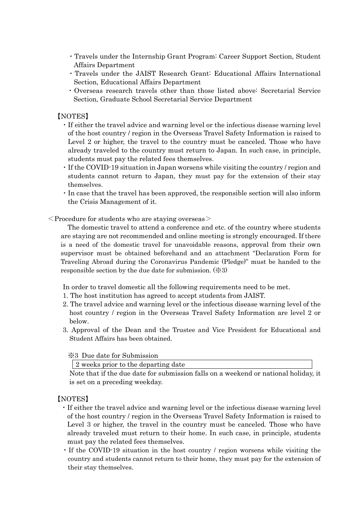- ・Travels under the Internship Grant Program: Career Support Section, Student Affairs Department
- ・Travels under the JAIST Research Grant: Educational Affairs International Section, Educational Affairs Department
- ・Overseas research travels other than those listed above: Secretarial Service Section, Graduate School Secretarial Service Department

## 【NOTES】

- ・If either the travel advice and warning level or the infectious disease warning level of the host country / region in the Overseas Travel Safety Information is raised to Level 2 or higher, the travel to the country must be canceled. Those who have already traveled to the country must return to Japan. In such case, in principle, students must pay the related fees themselves.
- ・If the COVID-19 situation in Japan worsens while visiting the country / region and students cannot return to Japan, they must pay for the extension of their stay themselves.
- ・In case that the travel has been approved, the responsible section will also inform the Crisis Management of it.

 $\leq$ Procedure for students who are staying overseas $>$ 

The domestic travel to attend a conference and etc. of the country where students are staying are not recommended and online meeting is strongly encouraged. If there is a need of the domestic travel for unavoidable reasons, approval from their own supervisor must be obtained beforehand and an attachment "Declaration Form for Traveling Abroad during the Coronavirus Pandemic (Pledge)" must be handed to the responsible section by the due date for submission. (※3)

In order to travel domestic all the following requirements need to be met.

- 1. The host institution has agreed to accept students from JAIST.
- 2. The travel advice and warning level or the infectious disease warning level of the host country / region in the Overseas Travel Safety Information are level 2 or below.
- 3. Approval of the Dean and the Trustee and Vice President for Educational and Student Affairs has been obtained.

## ※3 Due date for Submission

2 weeks prior to the departing date

Note that if the due date for submission falls on a weekend or national holiday, it is set on a preceding weekday.

## 【NOTES】

- ・If either the travel advice and warning level or the infectious disease warning level of the host country / region in the Overseas Travel Safety Information is raised to Level 3 or higher, the travel in the country must be canceled. Those who have already traveled must return to their home. In such case, in principle, students must pay the related fees themselves.
- ・If the COVID-19 situation in the host country / region worsens while visiting the country and students cannot return to their home, they must pay for the extension of their stay themselves.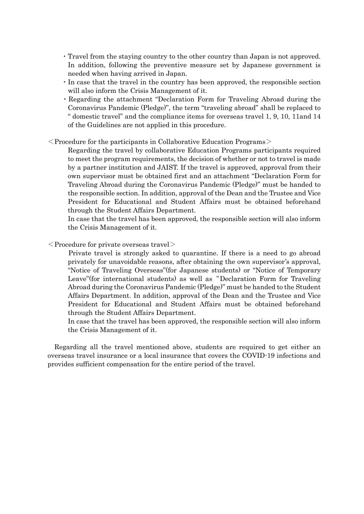- ・Travel from the staying country to the other country than Japan is not approved. In addition, following the preventive measure set by Japanese government is needed when having arrived in Japan.
- ・In case that the travel in the country has been approved, the responsible section will also inform the Crisis Management of it.
- ・Regarding the attachment "Declaration Form for Traveling Abroad during the Coronavirus Pandemic (Pledge)", the term "traveling abroad" shall be replaced to " domestic travel" and the compliance items for overseas travel 1, 9, 10, 11and 14 of the Guidelines are not applied in this procedure.
- $\leq$  Procedure for the participants in Collaborative Education Programs  $\geq$

Regarding the travel by collaborative Education Programs participants required to meet the program requirements, the decision of whether or not to travel is made by a partner institution and JAIST. If the travel is approved, approval from their own supervisor must be obtained first and an attachment "Declaration Form for Traveling Abroad during the Coronavirus Pandemic (Pledge)" must be handed to the responsible section. In addition, approval of the Dean and the Trustee and Vice President for Educational and Student Affairs must be obtained beforehand through the Student Affairs Department.

In case that the travel has been approved, the responsible section will also inform the Crisis Management of it.

 $\langle$  Procedure for private overseas travel $>$ 

Private travel is strongly asked to quarantine. If there is a need to go abroad privately for unavoidable reasons, after obtaining the own supervisor's approval, "Notice of Traveling Overseas"(for Japanese students) or "Notice of Temporary Leave"(for international students) as well as "Declaration Form for Traveling Abroad during the Coronavirus Pandemic (Pledge)" must be handed to the Student Affairs Department. In addition, approval of the Dean and the Trustee and Vice President for Educational and Student Affairs must be obtained beforehand through the Student Affairs Department.

In case that the travel has been approved, the responsible section will also inform the Crisis Management of it.

Regarding all the travel mentioned above, students are required to get either an overseas travel insurance or a local insurance that covers the COVID-19 infections and provides sufficient compensation for the entire period of the travel.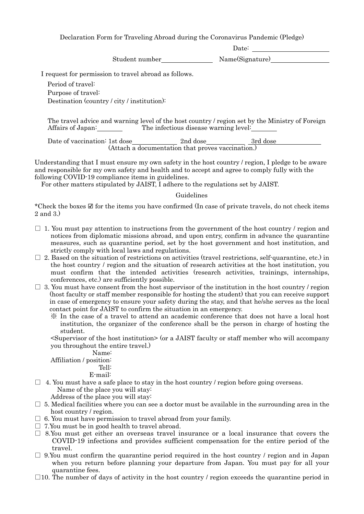Declaration Form for Traveling Abroad during the Coronavirus Pandemic (Pledge)

Date: \_

Student number Name(Signature)

I request for permission to travel abroad as follows.

Period of travel: Purpose of travel: Destination (country / city / institution):

The travel advice and warning level of the host country / region set by the Ministry of Foreign Affairs of Japan: The infectious disease warning level:

Date of vaccination: 1st dose 2nd dose 2nd dose 3rd dose (Attach a documentation that proves vaccination.)

Understanding that I must ensure my own safety in the host country / region, I pledge to be aware and responsible for my own safety and health and to accept and agree to comply fully with the following COVID-19 compliance items in guidelines.

For other matters stipulated by JAIST, I adhere to the regulations set by JAIST.

Guidelines

\*Check the boxes ☑ for the items you have confirmed (In case of private travels, do not check items 2 and 3.)

- $\square$  1. You must pay attention to instructions from the government of the host country / region and notices from diplomatic missions abroad, and upon entry, confirm in advance the quarantine measures, such as quarantine period, set by the host government and host institution, and strictly comply with local laws and regulations.
- $\Box$  2. Based on the situation of restrictions on activities (travel restrictions, self-quarantine, etc.) in the host country / region and the situation of research activities at the host institution, you must confirm that the intended activities (research activities, trainings, internships, conferences, etc.) are sufficiently possible.
- $\Box$  3. You must have consent from the host supervisor of the institution in the host country / region (host faculty or staff member responsible for hosting the student) that you can receive support in case of emergency to ensure your safety during the stay, and that he/she serves as the local contact point for JAIST to confirm the situation in an emergency.
	- ※ In the case of a travel to attend an academic conference that does not have a local host institution, the organizer of the conference shall be the person in charge of hosting the student.

<Supervisor of the host institution> (or a JAIST faculty or staff member who will accompany you throughout the entire travel.)

Name:

Affiliation / position:

Tell: E-mail:

 $\Box$  4. You must have a safe place to stay in the host country / region before going overseas. Name of the place you will stay:

Address of the place you will stay:

- $\square$  5. Medical facilities where you can see a doctor must be available in the surrounding area in the host country / region.
- $\Box$  6. You must have permission to travel abroad from your family.
- $\Box$  7. You must be in good health to travel abroad.
- $\square$  8.You must get either an overseas travel insurance or a local insurance that covers the COVID-19 infections and provides sufficient compensation for the entire period of the travel.
- $\square$  9.You must confirm the quarantine period required in the host country / region and in Japan when you return before planning your departure from Japan. You must pay for all your quarantine fees.
- $\square$ 10. The number of days of activity in the host country / region exceeds the quarantine period in